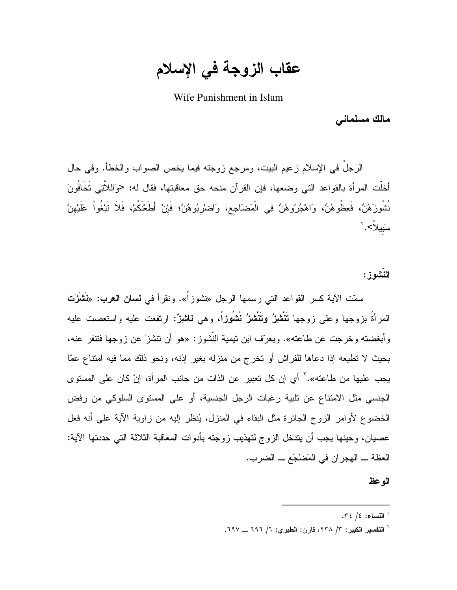عقاب الزوجة في الإسلام

Wife Punishment in Islam

مالك مسلماني

الرجلَ في الإسلام زعيم البيت، ومرجع زوجته فيما يخص الصواب والخطأ. وفي حال أخلَّت المرأة بالقواعد التي وضعها، فإن القرآن منحه حق معاقبتها، فقال له: حوَاللاَّتِي تَخَافُونَ نُشُوزَهُنَّ، فَعِظُوهُنَّ، وَاهْجُرُوهُنَّ فِي الْمَضَاجِع، وَاضْرِبُوهُنَّ؛ فَإِنْ أَطَعْنَكُمْ، فَلاَ نَبْغُواْ عَلَيْهِنَّ سَبِيلاً>.'

النَشوز :

سمّت الآية كسر القواعد التي رسمها الرجل «نشوزاً». ونقرأ في **لسان العرب:** «نَشَزَت المرأةُ بزوجها وعلى زوجها تَنْشِزُ وتَنْشْزُ نُشُوزاً، وهي ناشزٌ: ارتفعت عليه واستعصت عليه وأبغضته وخرجت عن طاعته». ويعرّف ابن نيمية النّشوز: «هو أن نتشزَ عن زوجها فتنفر عنه، بحيث لا تطيعه إذا دعاها للفراش أو تخرج من منزله بغير إذنه، ونحو ذلك مما فيه امتناع عمّا يجب عليها من طاعته».'` أي إن كل تعبير عن الذات من جانب المر أة، إنْ كان على المستوى الجنسي مثل الامتناع عن تلبية رغبات الرجل الجنسية، أو على المستوى السلوكي من رفض الخضوع لأوامر الزوج الجائرة مثل البقاء في المنزل، يُنظر إليه من زاوية الآية على أنه فعل عصيان، وحينها يجب أن يندخل الزوج لتهذيب زوجته بأدوات المعاقبة الثلاثة التي حددتها الآية: العظة ـــ الهجران في المَضْجَع ـــ الضرب.

الوعظ

 $.72 / 2$  النساء: 1/ ٢٤.

<sup>&</sup>lt;sup>י</sup> التفسير الكبير: ٣/ ٢٣٨، قارن: الطبرى: ٦/ ٦٩٦ \_ ٢٩٧.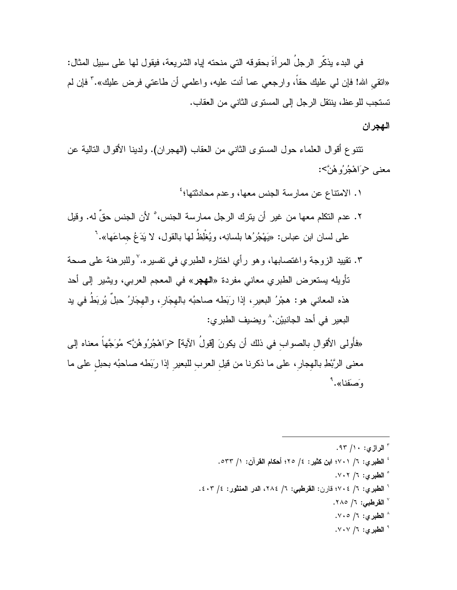في البدء يذكِّر الرجلَ المر أةَ بحقوقه التي منحته اياه الشريعة، فيقول لها على سبيل المثال: «انقى الله! فإن لـي عليك حقاً، وارجعي عما أنت عليه، واعلمي أن طاعتي فرض عليك»." فإن لم تستجب للو عظ، ينتقل الرجل إلى المستوى الثاني من العقاب.

## الهجران

نتتوع أقوال العلماء حول المستوى الثاني من العقاب (الهجران). ولدينا الأقوال النالية عن معنے حواهْجُرُوهُنَّ>:

- ١. الامتناع عن ممارسة الجنس معها، وعدم محادثتها؛<sup>؛</sup> ٢. عدم النكلم معها من غير ٍ أن يترك الرجل ممارسة الجنس، ْ لأن الجنس حقِّ له. وقيل على لسان ابن عباس: «يَهْجُرُها بلسانِه، ويُغْلِظُ لها بالقول، لا يَدَعُ جماعَها».'
- ٣. نقييد الزوجة واغتصابها، وهو رأى اختاره الطبري في تفسيره.٬ وللبرهنة على صحة نأويله بستعرض الطبري معاني مفردة «ا**لـهجر**» في المعجم العربـي، ويشير إلـي أحد هذه المعاني هو: هجْرُ البعيرِ، إذا رَبَطه صاحبُه بالـهجَارِ، والـهجَارُ حبلٌ يُربَطُ فـي يد البعير في أحد الجانبيْن.^ ويضيف الطبري:

«فأُولىي الأقوال بالصواب في ذلك أن يكونَ [قولُ الآية] حوَاهْجُرُوهُنَّ> مُوَجَّهاً معناه إلى معنى الرَّبْطِ بالهجار ، على ما ذكرنا من قيل العرب للبعيرِ إذا ربَطه صاحبُه بحبلٍ على ما وَ صَفِنا».

- " الرازى: ١٠/ ٩٣. <sup>؛</sup> الطبرى: ٦/ ٧٠١؛ ابن كثير: ٤/ ٢٥؛ أحكام القرآن: ١/ ٥٣٣. ° الطيري: ٦/ ٠٢.٧. أ الطبري: ٦/ ٢٠٤؛ قارن: القرطبي: ٦/ ٢٨٤، الدر المنثور: ٤/ ٤٠٣.
	- √ القرطبي: ٦/ ٢٨٥.
	- ^ الطيرى: ٦/ ٧٠٥.
	- <sup>۹</sup> الطبري: ۱/ ۰۷۰۷.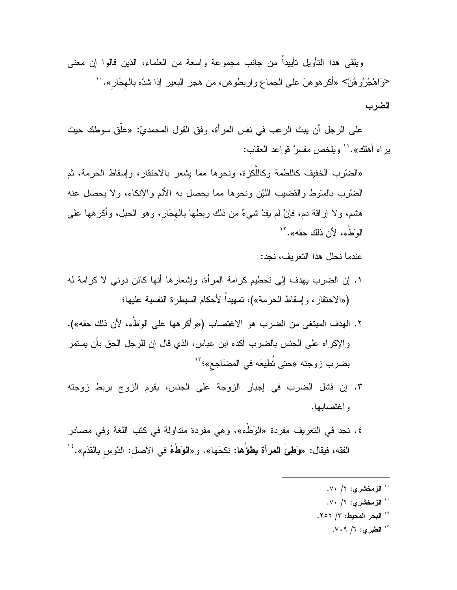ويلقى هذا النأويل نأييداً من جانب مجموعة واسعة من العلماء، الذين قالوا إن معنى حوَاهْجُرُوهُنَّ> «أكرهوهنَ على الجماع واربطوهن، من هجر البعير إذا شدَّه بالهجَار». `` الضرب

على الرجل أن يبث الرعب في نفس المرأة، وفق القول المحمديّ: «علَّق سوطك حيث بر اه أهلك».'' ويلخص مفسرٌ قواعد العقاب:

«الضَّرْبِ الْخَفِيفِ كاللَّطْمَةِ وَكَاللُّكْزِةِ، ونحوها مما يشعر بالاحتقارِ ، وإسقاط الحرمة، ثم الضَّرب بالسَّوط والقضَّيب اللَّيْن ونحوها مما يحصل به الألم والإنكاء، ولا يحصل عنه هشم، ولا إراقة دم، فإنْ لم يفدْ شيءٌ من ذلك ربطها بالهجَارٍ، وهو الحبل، وأكرهها على الوَطْءِ، لأن ذلك حقه». ``

عندما نحلل هذا التعريف، نجد:

- ١. إن الضرب يهدف إلى تحطيم كرامة المرأة، وإشعارها أنها كائن دوني لا كرامة له («الاحتقار ، وإسقاط الحرمة»)، تمهيداً لأحكام السيطرة النفسية عليها؛
- ٢. الهدف المبتغى من الضرب هو الاغتصاب («و أكر هها على الوَطَّء، لأن ذلك حقه»). والإكراه على الجنس بالضرب أكده ابن عباس، الذي قال إن للرجل الحق بأن يستمر بضرب زوجته «حتى تُطِيعَه في المضَاجع»؛"'
- ٣. إن فشل الضرب في إجبار الزوجة على الجنس، يقوم الزوج بربط زوجته واغتصابها.
- ٤. نجد في التعريف مفردة «الوَطُّء»، وهي مفردة متداولة في كتب اللغة وفي مصادر الفقه، فيقال: «وَطِئَ المرأةَ يطوُّها: نكَحَها». و «الوَطْعُ في الأصل: الدَّوس بالقَدَم».''
	- `` الزمخشري: ۲/ ۷۰.
	- `` الزمخشري: ۲/ ۷۰.
	- <sup>١٢</sup> البحر المحيط: ٢/ ٢٥٢.
		- ۱۳ الطيري: ۷/ ۰۹/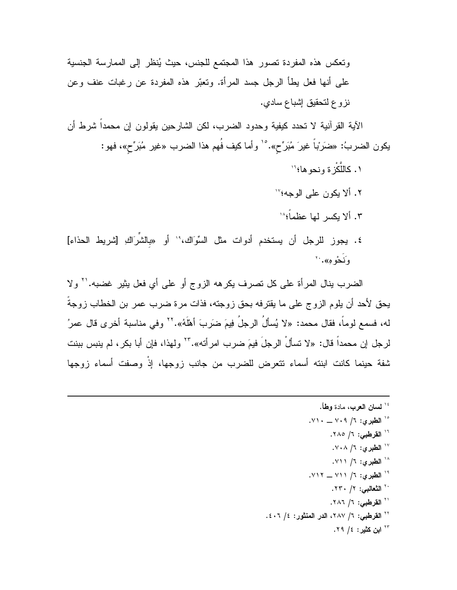ونعكس هذه المفردة نصور هذا المجتمع للجنس، حيث يُنظر إلى الممارسة الجنسية علَّمِي أنها فعل بطأ الرجل جسد المرأة. وتعبَّر هذه المفردة عن رغبات عنف وعن نزوع لتحقيق إشباع سادي.

الآية القرآنية لا تحدد كيفية وحدود الضرب، لكن الشارحين يقولون إن محمداً شرط أن يكون الضربُ: «ضَرَبْاً غيرَ مُبَرِّح». ۚ وأما كيف فُهم هذا الضرب «غير مُبَرِّح»، فهو:

١. كاللَّكْز ة ونحو ها؛ `` ٢. ألا يكون على الوجه؟'' ٣. ألا بكسر لها عظماً؛ ١٠ ٤. يجوز للرجل أن يستخدم أدوات مثل السِّوَاك،'' أو «بالشَّرَاكِ [شريط الحذاء] ونَدُو مِ». ``

الضرب بنال المرأة على كل تصرف بكرهه الزوج أو على أي فعل بِثيرٍ غضبه.'' ولا يحق لأحد أن يلوم الزوج على ما يقترفه بحق زوجته، فذات مرة ضرب عمر بن الخطاب زوجةً له، فسمع لوماً، فقال محمد: «لا يُسألُ الرجلُ فِيمَ ضَرَبَ أهلَّهُ».'' وفي مناسبة أخرى قال عمرُ لرجل إن محمداً قال: «لا تسألْ الرجلَ فيمَ ضرب امرأته».''` ولهذا، فإن أبا بكر ، لم ينبس ببنت شفة حينما كانت ابنته أسماء تتعرض للضرب من جانب زوجها، إذْ وصفت أسماء زوجها

> <sup>16</sup> لسان العرب، مادة وطأ. <sup>10</sup> الطبرى: ٦/ ٧٠٩ \_ ٧١٠. <sup>۱۰</sup> ا**لقرطب***ی:* **۱/ ۲۸**۰. <sup>۱۷</sup> الطبري: ۱/ ۰۸. <sup>۱۸</sup> الطبری: ۱/ ۷۱۱. <sup>١٩</sup> الطبري: ٦/ ٢١١ \_ ٧١٢. `` الثعالبي: ٢/ ٢٣٠. <sup>۱٬</sup> القرطبي: ٦/ ٢٨٦. <sup>71</sup> القرطبي: ٦/ ٢٨٧، الدر المنثور: ٤/ ٤٠٦. <sup>۲۳</sup> این کثیر : ۶/ ۲۹.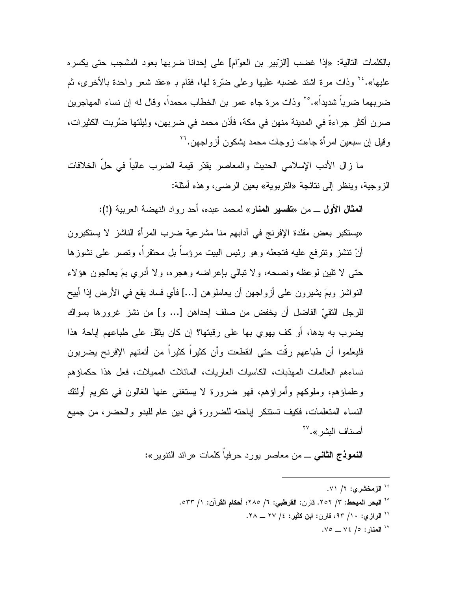بالكلمات التالية: «إذا غضب [الزِّبير بن العوِّلم] على إحدانا ضربها بعود المشجب حتى يكسر ه عليها». ٢٤ وذات مرة اشتد غضبه عليها وعلى ضرّ ة لمها، فقام بـ «عقد شعر واحدة بالأخرى، ثم ضربهما ضرباً شديداً».°′ وذات مرة جاء عمر بن الخطاب محمداً، وقال له إن نساء المهاجرين صرن أكثر جراءة في المدينة منهن في مكة، فأذن محمد في ضربهن، وليلتها ضُربت الكثيرات، وقيل إن سبعين امرأة جاءت زوجات محمد يشكون أزواجهن.''

ما زال الأدب الإسلامي الحديث والمعاصر يقدّر قيمة الضرب عالياً فى حلّ الخلافات الزوجية، وينظر إلى نتائجة «التربوية» بعين الرضبي، وهذه أمثلة:

المثال الأولى ـــ من «تفسير المنار» لمحمد عبده، أحد رواد النهضبة العربية (!):

«يستكبر بعض مقلدة الإفرنج في أدابهم منا مشرعية ضرب المرأة الناشز لا يستكبرون أنْ نتشز ونترفع عليه فتجعله وهو رئيس البيت مرؤساً بل محتقراً، ونصر على نشوزها حتى لا نلين لوعظه ونصحه، ولا نبالي بإعراضه وهجره، ولا أدري بمَ يعالجون هؤلاء النواشز وبمَ يشيرون على أزواجهن أن يعاملوهن […] فأى فساد يقع في الأرض إذا أبيح للرجل النقيِّ الفاضل أن يخفض من صلف إحداهن [… و] من نشز غرورها بسواك يضرب به يدها، أو كف يهوى بها على رقبتها؟ إن كان يثقل على طباعهم إباحة هذا فليعلموا أن طباعهم رِقَّت حتى انقطعت وأن كثيراً كثيراً من أئمتهم الإفرنح يضربون نساءهم العالمات المهذبات، الكاسيات العاريات، المائلات المميلات، فعل هذا حكماؤهم وعلماؤهم، وملوكهم وأمراؤهم، فهو ضرورة لا يستغنى عنها الغالون في نكريم أولئك النساء المتعلمات، فكيف تستنكر إباحته للضرورة في دين عام للبدو والحضر، من جميع أصناف البشر».<sup>٢٧</sup>

**النموذج الثاني** ـــ من معاصر بورد حرفيا كلمات «رائد النتوير»:

- <sup>٢٤</sup> الزمخشري: ٢/ ٧١.
- <sup>70</sup> ال**بح**ر الم**يحط: ٣/ ٢٥٢.** قارن: القرطبي: ٦/ ٢٨٥؛ أحكام القرآن: ١/ ٥٣٣.
	- <sup>٢٦</sup> الرازي: ١٠/ ٩٣، قارن: اين كثير: ٤/ ٢٧ ــ ٢٨.

 $\sqrt{6}$  المنار: ٥/ ٧٤ \_ ٧٥.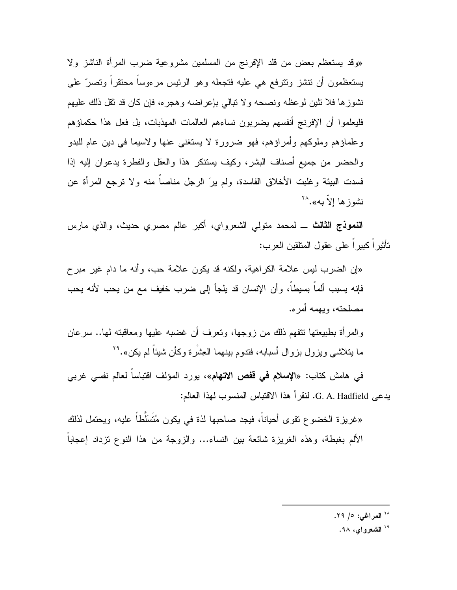«وقد يستعظم بعض من قلد الإفرنج من المسلمين مشروعية ضرب المرأة الناشز ولا يستعظمون أن نتشز ونترفع هي عليه فتجعله وهو الرئيس مرءوساً محتقراً ونصر ً على نشوز ها فلا نلين لو عظه ونصحه و لا نبالي بإعر اضه و هجر ه، فإن كان قد نقل ذلك عليهم فليعلموا أن الإفرنج أنفسهم بضربون نساءهم العالمات المهذبات، بل فعل هذا حكماؤهم وعلماؤهم وملوكهم وأمراؤهم، فهو ضرورة لا يستغنى عنها ولاسيما في دين عام للبدو والحضر من جميع أصناف البشر، وكيف يستنكر هذا والعقل والفطرة يدعوان إليه إذا فسدت الببيئة وغلبت الأخلاق الفاسدة، ولم يرَ الرجل مناصبًا منه ولا ترجع المرأة عن نشوزها الأبه».<sup>۲۸</sup>

**النموذج الثالث** ـــ لمحمد متولَّى الشعرواي، أكبر عالم مصرى حديث، والذي مارس نَأْثِيراً كبيراً على عقول المنلقين العرب:

«إن الضرب ليس علامة الكراهية، ولكنه قد يكون علامة حب، وأنه ما دام غير مبر ح فإنه يسبب ألماً بسيطاً، وأن الإنسان قد يلجأ إلى ضرب خفيف مع من يحب لأنه يحب مصلحته، ويهمه أمر ه.

والمرأة بطبيعتها نتفهم ذلك من زوجها، ونعرف أن غضبه عليها ومعاقبته لمها.. سرعان ما بتلاشى ويزول بزوال أسبابه، فتدوم ببنهما العِشرة وكأن شيئاً لم يكن».<sup>٢٩</sup>

في هامش كتاب: «الإ**سلام في قفص الاتهام**»، يورد المؤلف اقتباسا لعالم نفسي غربي يدعى G. A. Hadfield. لنقرأ هذا الاقتباس المنسوب لهذا العالم:

«غريز ة الخضو ع نقو ي أحياناً، فيجد صاحبها لذة في يكون مُتَسَلِّطاً عليه، ويحتمل لذلك الألم بغبطة، وهذه الغريزة شائعة بين النساء... والزوجة من هذا النوع نزداد إعجابا

<sup>٢٨</sup> المراغى: ٥/ ٢٩.

<sup>۲۹</sup> ا**لشعرو**اي، ۹۸.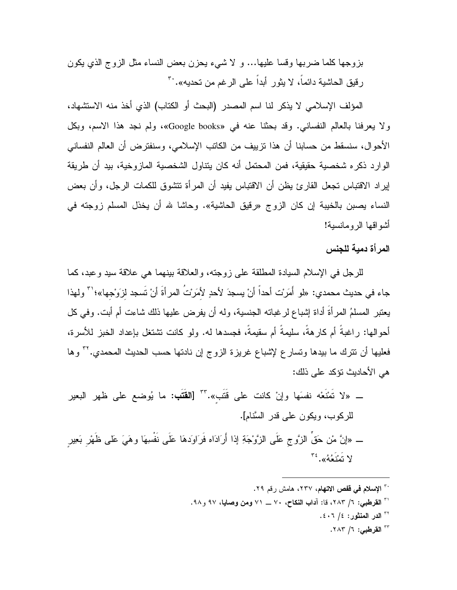بزوجها كلما ضربها وقسا عليها… و لا شيء يحزن بعض النساء مثل الزوج الذي يكون ر قبِقِ الحاشية دائماً، لا يثور أبداً على الر غم من تحديه».<sup>.٣</sup>

المؤلف الإسلامي لا يذكر لنا اسم المصدر (البحث أو الكتاب) الذي أخذ منه الاستشهاد، ولا يعرفنا بالعالم النفساني. وقد بحثنا عنه في «Google books»، ولم نجد هذا الاسم، وبكل الأحوال، سنسقط من حسابنا أن هذا نزييف من الكاتب الإسلامي، وسنفترض أن العالم النفساني الوارد ذكره شخصية حقيقية، فمن المحتمل أنه كان يتناول الشخصية المازوخية، بيد أن طريقة إيراد الاقتباس تجعل القارئ بظن أن الاقتباس بفيد أن المرأة تتشوق للكمات الرجل، وأن بعض النساء يصبن بالخيبة إن كان الزوج «رقيق الحاشية». وحاشا لله أن يخذل المسلم زوجته في أشو اقها الر و مانسبة!

المر أة دمية للجنس

للرجل في الإسلام السيادة المطلقة على زوجته، والعلاقة بينهما هي علاقة سيد وعبد، كما جاء في حديث محمدي: «لمو أَمَرْت أحداً أنْ يسجدَ لأحدٍ لأمَرِنتُ المر أةَ أنْ تُسجد لزوَجها»؛'" ولهذا يعتبر المسلمُ المرأةُ أداة إشباع لرغباته الجنسية، وله أن يفرض عليها ذلك شاءت أم أبت. وفي كل أحوالها: راغبةً أم كارهةً، سليمةً أم سقيمةً، فجسدها له. ولو كانت نشتغل بإعداد الخبز للأسرة، فعليها أن نترك ما بيدها ونسار ع لإشباع غريزة الزوج إن نادنها حسب الحديث المحمدي.''' وها هي الأحاديث نؤكد على ذلك:

ــ «لا تَمْنَعْه نفسَها وإنْ كانت على قَتَب». ٣٣ [القَتَب: ما يُوضع على ظهر البعير للركوب، ويكون على قدر السَّنام]. ـــ «إنَّ مْن حَقٍّ الزَّوج عَلَى الزَّوْجَةِ إذا أَرَادَاه فَرَاوَدهَا عَلَى نَفْسِهَا وهَيَ عَلَى ظَهْر بَعِير لا تَمْنَعُهُ». <sup>٣٤</sup>